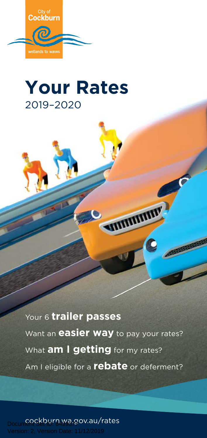

# **Your Rates** 2019–2020

Your 6 **trailer passes** Want an **easier way** to pay your rates? Am I eligible for a **rebate** or deferment? What **am I getting** for my rates?

**MINIMUM** 

cockburn.wa.gov.au/rates Prsion: Date: 11/12/2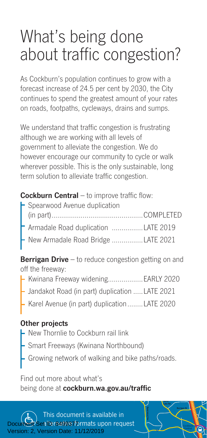# What's being done about traffic congestion?

As Cockburn's population continues to grow with a forecast increase of 24.5 per cent by 2030, the City continues to spend the greatest amount of your rates on roads, footpaths, cycleways, drains and sumps.

We understand that traffic congestion is frustrating although we are working with all levels of government to alleviate the congestion. We do however encourage our community to cycle or walk wherever possible. This is the only sustainable, long term solution to alleviate traffic congestion.

#### **Cockburn Central** – to improve traffic flow:

| Armadale Road duplication LATE 2019         |
|---------------------------------------------|
| $\vdash$ New Armadale Road Bridge LATE 2021 |
|                                             |

**Berrigan Drive** – to reduce congestion getting on and off the freeway:

- **L** Kwinana Freeway widening....................EARLY 2020
	- Jandakot Road (in part) duplication .....LATE 2021
	- Karel Avenue (in part) duplication........LATE 2020

#### **Other projects**

- New Thornlie to Cockburn rail link
- Smart Freeways (Kwinana Northbound)
- Growing network of walking and bike paths/roads.

**North Lake Rd**

**Central A** 

Find out more about what's being done at **cockburn.wa.gov.au/traffic**

This document is available in **altersative formats upon request** Version: 2, Version Date: 11/12/2019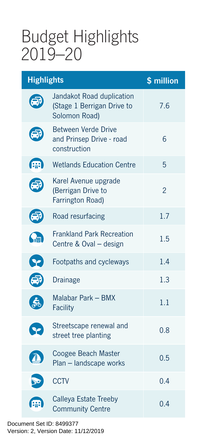# Budget Highlights 2019–20

| <b>Highlights</b>    |                                                                          | \$ million     |
|----------------------|--------------------------------------------------------------------------|----------------|
|                      | Jandakot Road duplication<br>(Stage 1 Berrigan Drive to<br>Solomon Road) | 7.6            |
|                      | Between Verde Drive<br>and Prinsep Drive - road<br>construction          | 6              |
| (票)                  | <b>Wetlands Education Centre</b>                                         | 5              |
|                      | Karel Avenue upgrade<br>(Berrigan Drive to<br>Farrington Road)           | $\overline{2}$ |
| (高)                  | Road resurfacing                                                         | 1.7            |
| $Q_{\rm m}$          | <b>Frankland Park Recreation</b><br>Centre & Oval - design               | 1.5            |
| $\bullet$            | Footpaths and cycleways                                                  | 1.4            |
| æ                    | Drainage                                                                 | 1.3            |
|                      | Malabar Park - BMX<br><b>Facility</b>                                    | 1.1            |
| $\blacktriangledown$ | Streetscape renewal and<br>street tree planting                          | 0.8            |
|                      | Coogee Beach Master<br>Plan - landscape works                            | 0.5            |
|                      | <b>CCTV</b>                                                              | 0.4            |
| æ                    | Calleya Estate Treeby<br><b>Community Centre</b>                         | 0.4            |

Document Set ID: 8499377<br>Version: 2, Version Date: 11/12/2019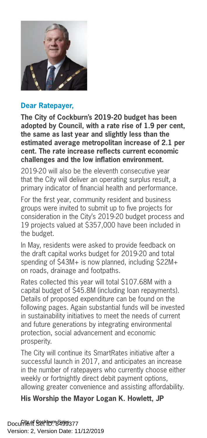

#### **Dear Ratepayer,**

**The City of Cockburn's 2019-20 budget has been adopted by Council, with a rate rise of 1.9 per cent, the same as last year and slightly less than the estimated average metropolitan increase of 2.1 per cent. The rate increase reflects current economic challenges and the low inflation environment.**

2019-20 will also be the eleventh consecutive year that the City will deliver an operating surplus result, a primary indicator of financial health and performance.

For the first year, community resident and business groups were invited to submit up to five projects for consideration in the City's 2019-20 budget process and 19 projects valued at \$357,000 have been included in the budget.

In May, residents were asked to provide feedback on the draft capital works budget for 2019-20 and total spending of \$43M+ is now planned, including \$22M+ on roads, drainage and footpaths.

Rates collected this year will total \$107.68M with a capital budget of \$45.8M (including loan repayments). Details of proposed expenditure can be found on the following pages. Again substantial funds will be invested in sustainability initiatives to meet the needs of current and future generations by integrating environmental protection, social advancement and economic prosperity.

The City will continue its SmartRates initiative after a successful launch in 2017, and anticipates an increase in the number of ratepayers who currently choose either weekly or fortnightly direct debit payment options, allowing greater convenience and assisting affordability.

#### **His Worship the Mayor Logan K. Howlett, JP**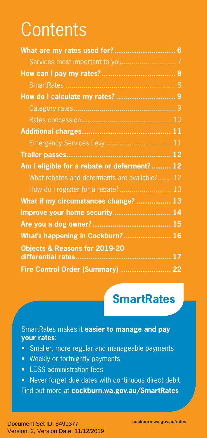# **Contents**

| What are my rates used for? 6                                                |  |
|------------------------------------------------------------------------------|--|
|                                                                              |  |
|                                                                              |  |
|                                                                              |  |
|                                                                              |  |
|                                                                              |  |
|                                                                              |  |
|                                                                              |  |
| Emergency Services Levy 11                                                   |  |
|                                                                              |  |
|                                                                              |  |
| Am I eligible for a rebate or deferment?  12                                 |  |
| What rebates and deferments are available? 12                                |  |
|                                                                              |  |
| How do I register for a rebate? 13                                           |  |
| What if my circumstances change?  13<br>Improve your home security  14       |  |
|                                                                              |  |
|                                                                              |  |
| What's happening in Cockburn? 16<br><b>Objects &amp; Reasons for 2019-20</b> |  |

# **SmartRates**

#### SmartRates makes it **easier to manage and pay your rates**:

- Smaller, more regular and manageable payments
- Weekly or fortnightly payments
- LESS administration fees
- Never forget due dates with continuous direct debit. Find out more at **cockburn.wa.gov.au/SmartRates**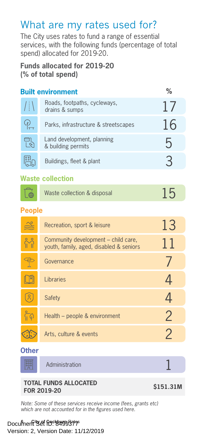#### What are my rates used for?

The City uses rates to fund a range of essential services, with the following funds (percentage of total spend) allocated for 2019-20.

#### **Funds allocated for 2019-20 (% of total spend)**

| <b>Built environment</b> |                                                  | ℅             |
|--------------------------|--------------------------------------------------|---------------|
| $\sqrt{N}$               | Roads, footpaths, cycleways,<br>drains & sumps   | $\frac{1}{2}$ |
| $\mathbb{P}^1$           | Parks, infrastructure & streetscapes             | 16            |
|                          | Land development, planning<br>& building permits | h             |
| <b>Pap</b>               | Buildings, fleet & plant                         | $\mathcal{B}$ |
|                          |                                                  |               |

#### **Waste collection**

|  | Waste collection & disposal | 15 |
|--|-----------------------------|----|
|--|-----------------------------|----|

#### **People**

|                         | Recreation, sport & leisure                                                    | 13            |
|-------------------------|--------------------------------------------------------------------------------|---------------|
| $\mathring{\mathbb{M}}$ | Community development – child care,<br>youth, family, aged, disabled & seniors | 11            |
|                         | Governance                                                                     |               |
|                         | Libraries                                                                      |               |
| $\alpha$                | <b>Safety</b>                                                                  |               |
| ိူဂူ                    | Health – people & environment                                                  | $\mathcal{P}$ |
|                         | Arts, culture & events                                                         |               |

#### **Other**

| $rac{1}{1000}$<br>000 | Administration |  |
|-----------------------|----------------|--|
|-----------------------|----------------|--|

#### **TOTAL FUNDS ALLOCATED FOR 2019-20 \$151.31M**

*Note: Some of these services receive income (fees, grants etc) which are not accounted for in the figures used here.*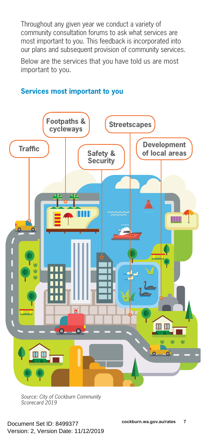Throughout any given year we conduct a variety of community consultation forums to ask what services are most important to you. This feedback is incorporated into our plans and subsequent provision of community services.

Below are the services that you have told us are most important to you.





*Source: City of Cockburn Community Scorecard 2019*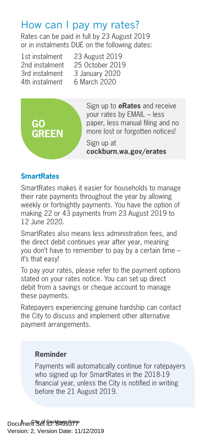#### How can I pay my rates?

Rates can be paid in full by 23 August 2019 or in instalments DUE on the following dates:

4th instalment 6 March 2020

1st instalment 23 August 2019<br>2nd instalment 25 October 2019 25 October 2019 3rd instalment 3 January 2020



Sign up to **eRates** and receive your rates by EMAIL – less paper, less manual filing and no more lost or forgotten notices!

Sign up at **cockburn.wa.gov/erates**

#### **SmartRates**

SmartRates makes it easier for households to manage their rate payments throughout the year by allowing weekly or fortnightly payments. You have the option of making 22 or 43 payments from 23 August 2019 to 12 June 2020.

SmartRates also means less administration fees, and the direct debit continues year after year, meaning you don't have to remember to pay by a certain time – it's that easy!

To pay your rates, please refer to the payment options stated on your rates notice. You can set up direct debit from a savings or cheque account to manage these payments.

Ratepayers experiencing genuine hardship can contact the City to discuss and implement other alternative payment arrangements.

#### **Reminder**

Payments will automatically continue for ratepayers who signed up for SmartRates in the 2018-19 financial year, unless the City is notified in writing before the 21 August 2019.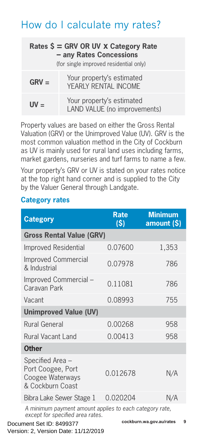### How do I calculate my rates?

| Rates $\zeta$ = GRV OR UV x Category Rate<br>- any Rates Concessions<br>(for single improved residential only) |                                                           |  |
|----------------------------------------------------------------------------------------------------------------|-----------------------------------------------------------|--|
| $GRV =$                                                                                                        | Your property's estimated<br>YEARLY RENTAL INCOME         |  |
| $UV =$                                                                                                         | Your property's estimated<br>LAND VALUE (no improvements) |  |

Property values are based on either the Gross Rental Valuation (GRV) or the Unimproved Value (UV). GRV is the most common valuation method in the City of Cockburn as UV is mainly used for rural land uses including farms, market gardens, nurseries and turf farms to name a few.

Your property's GRV or UV is stated on your rates notice at the top right hand corner and is supplied to the City by the Valuer General through Landgate.

#### **Category rates**

| <b>Category</b>                                                                             | <b>Rate</b><br>$\mathsf{S}$ | <b>Minimum</b><br>amount $(S)$ |   |
|---------------------------------------------------------------------------------------------|-----------------------------|--------------------------------|---|
| <b>Gross Rental Value (GRV)</b>                                                             |                             |                                |   |
| Improved Residential                                                                        | 0.07600                     | 1,353                          |   |
| <b>Improved Commercial</b><br>& Industrial                                                  | 0.07978                     | 786                            |   |
| Improved Commercial -<br>Caravan Park                                                       | 0.11081                     | 786                            |   |
| Vacant                                                                                      | 0.08993                     | 755                            |   |
| <b>Unimproved Value (UV)</b>                                                                |                             |                                |   |
| Rural General                                                                               | 0.00268                     | 958                            |   |
| Rural Vacant Land                                                                           | 0.00413                     | 958                            |   |
| <b>Other</b>                                                                                |                             |                                |   |
| Specified Area -<br>Port Coogee, Port<br>Coogee Waterways<br>& Cockburn Coast               | 0.012678                    | N/A                            |   |
| Bibra Lake Sewer Stage 1                                                                    | 0.020204                    | N/A                            |   |
| A minimum payment amount applies to each category rate,<br>except for specified area rates. |                             |                                |   |
| Document Set ID: 8499377                                                                    |                             | cockburn.wa.gov.au/rates       | 9 |

Version: 2, Version Date: 11/12/2019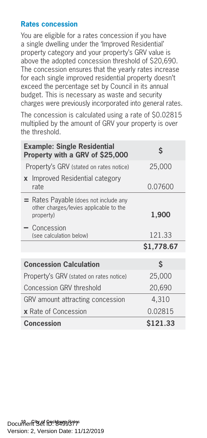#### **Rates concession**

You are eligible for a rates concession if you have a single dwelling under the 'Improved Residential' property category and your property's GRV value is above the adopted concession threshold of \$20,690. The concession ensures that the yearly rates increase for each single improved residential property doesn't exceed the percentage set by Council in its annual budget. This is necessary as waste and security charges were previously incorporated into general rates.

The concession is calculated using a rate of \$0.02815 multiplied by the amount of GRV your property is over the threshold.

| <b>Example: Single Residential</b><br>Property with a GRV of \$25,000                          | S          |
|------------------------------------------------------------------------------------------------|------------|
| Property's GRV (stated on rates notice)                                                        | 25,000     |
| Improved Residential category<br>$\mathbf{x}$<br>rate                                          | 0.07600    |
| $=$ Rates Payable (does not include any<br>other charges/levies applicable to the<br>property) | 1,900      |
| $-$ Concession<br>(see calculation below)                                                      | 121.33     |
|                                                                                                | \$1,778.67 |
|                                                                                                |            |
|                                                                                                |            |
| <b>Concession Calculation</b>                                                                  | \$         |
| Property's GRV (stated on rates notice)                                                        | 25,000     |
| Concession GRV threshold                                                                       | 20,690     |
| GRV amount attracting concession                                                               | 4,310      |
| <b>x</b> Rate of Concession                                                                    | 0.02815    |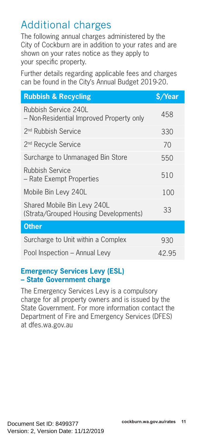# Additional charges

The following annual charges administered by the City of Cockburn are in addition to your rates and are shown on your rates notice as they apply to your specific property.

Further details regarding applicable fees and charges can be found in the City's Annual Budget 2019-20.

| <b>Rubbish &amp; Recycling</b>                                       | \$/Year |
|----------------------------------------------------------------------|---------|
| Rubbish Service 240L<br>- Non-Residential Improved Property only     | 458     |
| 2 <sup>nd</sup> Rubbish Service                                      | 330     |
| 2 <sup>nd</sup> Recycle Service                                      | 70      |
| Surcharge to Unmanaged Bin Store                                     | 550     |
| <b>Rubbish Service</b><br>– Rate Exempt Properties                   | 510     |
| Mobile Bin Levy 240L                                                 | 100     |
| Shared Mobile Bin Levy 240L<br>(Strata/Grouped Housing Developments) | 33      |
| <b>Other</b>                                                         |         |
| Surcharge to Unit within a Complex                                   | 930     |
| Pool Inspection - Annual Levy                                        | 42.95   |
|                                                                      |         |

#### **Emergency Services Levy (ESL) – State Government charge**

The Emergency Services Levy is a compulsory charge for all property owners and is issued by the State Government. For more information contact the Department of Fire and Emergency Services (DFES) at [dfes.wa.gov.au](http://www.dfes.wa.gov.au)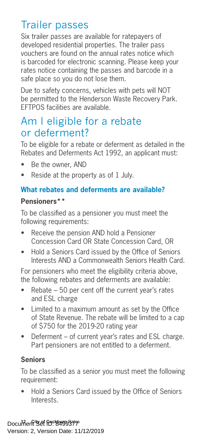# Trailer passes

Six trailer passes are available for ratepayers of developed residential properties. The trailer pass vouchers are found on the annual rates notice which is barcoded for electronic scanning. Please keep your rates notice containing the passes and barcode in a safe place so you do not lose them.

Due to safety concerns, vehicles with pets will NOT be permitted to the Henderson Waste Recovery Park. EFTPOS facilities are available.

#### Am I eligible for a rebate or deferment?

To be eligible for a rebate or deferment as detailed in the Rebates and Deferments Act 1992, an applicant must:

- Be the owner, AND
- Reside at the property as of 1 July.

#### **What rebates and deferments are available?**

#### **Pensioners\*\***

To be classified as a pensioner you must meet the following requirements:

- Receive the pension AND hold a Pensioner Concession Card OR State Concession Card, OR
- Hold a Seniors Card issued by the Office of Seniors Interests AND a Commonwealth Seniors Health Card.

For pensioners who meet the eligibility criteria above, the following rebates and deferments are available:

- Rebate 50 per cent off the current year's rates and ESL charge
- Limited to a maximum amount as set by the Office of State Revenue. The rebate will be limited to a cap of \$750 for the 2019-20 rating year
- Deferment of current year's rates and ESL charge. Part pensioners are not entitled to a deferment.

#### **Seniors**

To be classified as a senior you must meet the following requirement:

• Hold a Seniors Card issued by the Office of Seniors Interests.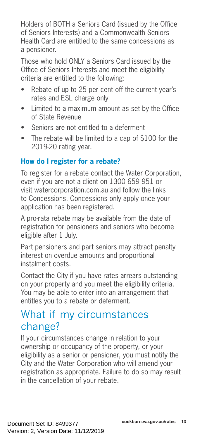Holders of BOTH a Seniors Card (issued by the Office of Seniors Interests) and a Commonwealth Seniors Health Card are entitled to the same concessions as a pensioner.

Those who hold ONLY a Seniors Card issued by the Office of Seniors Interests and meet the eligibility criteria are entitled to the following:

- Rebate of up to 25 per cent off the current year's rates and ESL charge only
- Limited to a maximum amount as set by the Office of State Revenue
- Seniors are not entitled to a deferment
- The rebate will be limited to a cap of \$100 for the 2019-20 rating year.

#### **How do I register for a rebate?**

To register for a rebate contact the Water Corporation, even if you are not a client on 1300 659 951 or visit watercorporation.com.au and follow the links to Concessions. Concessions only apply once your application has been registered.

A pro-rata rebate may be available from the date of registration for pensioners and seniors who become eligible after 1 July.

Part pensioners and part seniors may attract penalty interest on overdue amounts and proportional instalment costs.

Contact the City if you have rates arrears outstanding on your property and you meet the eligibility criteria. You may be able to enter into an arrangement that entitles you to a rebate or deferment.

#### What if my circumstances change?

If your circumstances change in relation to your ownership or occupancy of the property, or your eligibility as a senior or pensioner, you must notify the City and the Water Corporation who will amend your registration as appropriate. Failure to do so may result in the cancellation of your rebate.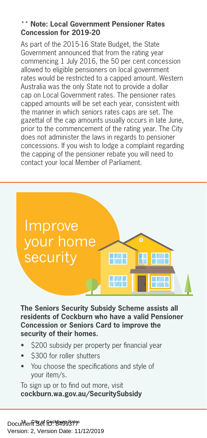#### \*\* **Note: Local Government Pensioner Rates Concession for 2019-20**

As part of the 2015-16 State Budget, the State Government announced that from the rating year commencing 1 July 2016, the 50 per cent concession allowed to eligible pensioners on local government rates would be restricted to a capped amount. Western Australia was the only State not to provide a dollar cap on Local Government rates. The pensioner rates capped amounts will be set each year, consistent with the manner in which seniors rates caps are set. The gazettal of the cap amounts usually occurs in late June, prior to the commencement of the rating year. The City does not administer the laws in regards to pensioner concessions. If you wish to lodge a complaint regarding the capping of the pensioner rebate you will need to contact your local Member of Parliament.



**The Seniors Security Subsidy Scheme assists all residents of Cockburn who have a valid Pensioner Concession or Seniors Card to improve the security of their homes.** 

- \$200 subsidy per property per financial year
- \$300 for roller shutters
- You choose the specifications and style of your item/s.

To sign up or to find out more, visit **cockburn.wa.gov.au/SecuritySubsidy**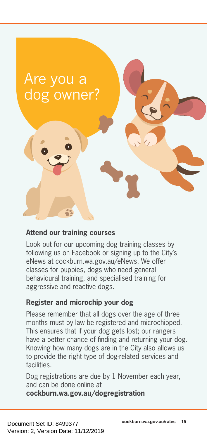# Are you a dog owner?

#### **Attend our training courses**

Look out for our upcoming dog training classes by following us on Facebook or signing up to the City's eNews at cockburn.wa.gov.au/eNews. We offer classes for puppies, dogs who need general behavioural training, and specialised training for aggressive and reactive dogs.

#### **Register and microchip your dog**

Please remember that all dogs over the age of three months must by law be registered and microchipped. This ensures that if your dog gets lost; our rangers have a better chance of finding and returning your dog. Knowing how many dogs are in the City also allows us to provide the right type of dog-related services and facilities.

Dog registrations are due by 1 November each year, and can be done online at

**cockburn.wa.gov.au/dogregistration**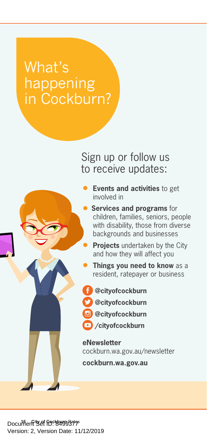# What's happening in Cockburn?

Sign up or follow us to receive updates:



• **Events and activities** to get involved in

- **Services and programs** for children, families, seniors, people with disability, those from diverse backgrounds and businesses
	- **Projects** undertaken by the City and how they will affect you
- **Things you need to know** as a resident, ratepayer or business
- **@c[ityofcockburn](https://www.facebook.com/CityOfCockburn/)**
- **@[cityofcockburn](https://twitter.com/cityofcockburn)**
- **@[cityofcockburn](https://twitter.com/cityofcockburn)**
	- **/[cityofcockburn](https://twitter.com/cityofcockburn)**

**eNewsletter** cockburn.wa.gov.au/newsletter

**cockburn.wa.gov.au**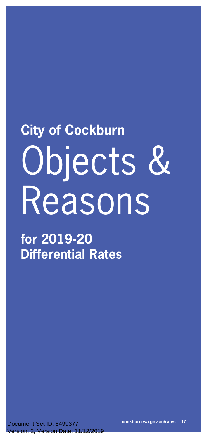# **City of Cockburn** Objects & Reasons

**for 2019-20 Differential Rates**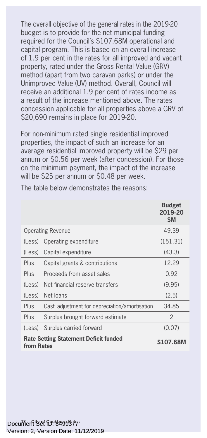The overall objective of the general rates in the 2019-20 budget is to provide for the net municipal funding required for the Council's \$107.68M operational and capital program. This is based on an overall increase of 1.9 per cent in the rates for all improved and vacant property, rated under the Gross Rental Value (GRV) method (apart from two caravan parks) or under the Unimproved Value (UV) method. Overall, Council will receive an additional 1.9 per cent of rates income as a result of the increase mentioned above. The rates concession applicable for all properties above a GRV of \$20,690 remains in place for 2019-20.

For non-minimum rated single residential improved properties, the impact of such an increase for an average residential improved property will be \$29 per annum or \$0.56 per week (after concession). For those on the minimum payment, the impact of the increase will be \$25 per annum or \$0.48 per week.

|            |                                               | <b>Budget</b><br>2019-20<br><b>SM</b> |
|------------|-----------------------------------------------|---------------------------------------|
|            | <b>Operating Revenue</b>                      | 49.39                                 |
| (Less)     | Operating expenditure                         | (151.31)                              |
| (Less)     | Capital expenditure                           | (43.3)                                |
| Plus       | Capital grants & contributions                | 12.29                                 |
| Plus       | Proceeds from asset sales                     | 0.92                                  |
| (Less)     | Net financial reserve transfers               | (9.95)                                |
| (Less)     | Net loans                                     | (2.5)                                 |
| Plus       | Cash adjustment for depreciation/amortisation | 34.85                                 |
| Plus       | Surplus brought forward estimate              | $\mathcal{P}$                         |
| (Less)     | Surplus carried forward                       | (0.07)                                |
| from Rates | <b>Rate Setting Statement Deficit funded</b>  | S107.68M                              |

The table below demonstrates the reasons: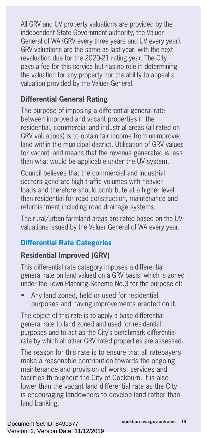All GRV and UV property valuations are provided by the independent State Government authority, the Valuer General of WA (GRV every three years and UV every year). GRV valuations are the same as last year, with the next revaluation due for the 2020-21 rating year. The City pays a fee for this service but has no role in determining the valuation for any property nor the ability to appeal a valuation provided by the Valuer General.

#### **Differential General Rating**

The purpose of imposing a differential general rate between improved and vacant properties in the residential, commercial and industrial areas (all rated on GRV valuations) is to obtain fair income from unimproved land within the municipal district. Utilisation of GRV values for vacant land means that the revenue generated is less than what would be applicable under the UV system.

Council believes that the commercial and industrial sectors generate high traffic volumes with heavier loads and therefore should contribute at a higher level than residential for road construction, maintenance and refurbishment including road drainage systems.

The rural/urban farmland areas are rated based on the UV valuations issued by the Valuer General of WA every year.

#### **Differential Rate Categories**

#### **Residential Improved (GRV)**

This differential rate category imposes a differential general rate on land valued on a GRV basis, which is zoned under the Town Planning Scheme No.3 for the purpose of:

• Any land zoned, held or used for residential purposes and having improvements erected on it.

The object of this rate is to apply a base differential general rate to land zoned and used for residential purposes and to act as the City's benchmark differential rate by which all other GRV rated properties are assessed.

The reason for this rate is to ensure that all ratepayers make a reasonable contribution towards the ongoing maintenance and provision of works, services and facilities throughout the City of Cockburn. It is also lower than the vacant land differential rate as the City is encouraging landowners to develop land rather than land banking.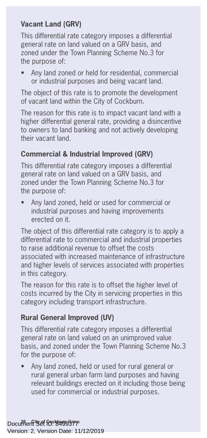#### **Vacant Land (GRV)**

This differential rate category imposes a differential general rate on land valued on a GRV basis, and zoned under the Town Planning Scheme No.3 for the purpose of:

• Any land zoned or held for residential, commercial or industrial purposes and being vacant land.

The object of this rate is to promote the development of vacant land within the City of Cockburn.

The reason for this rate is to impact vacant land with a higher differential general rate, providing a disincentive to owners to land banking and not actively developing their vacant land.

#### **Commercial & Industrial Improved (GRV)**

This differential rate category imposes a differential general rate on land valued on a GRV basis, and zoned under the Town Planning Scheme No.3 for the purpose of:

• Any land zoned, held or used for commercial or industrial purposes and having improvements erected on it.

The object of this differential rate category is to apply a differential rate to commercial and industrial properties to raise additional revenue to offset the costs associated with increased maintenance of infrastructure and higher levels of services associated with properties in this category.

The reason for this rate is to offset the higher level of costs incurred by the City in servicing properties in this category including transport infrastructure.

#### **Rural General Improved (UV)**

This differential rate category imposes a differential general rate on land valued on an unimproved value basis, and zoned under the Town Planning Scheme No.3 for the purpose of:

• Any land zoned, held or used for rural general or rural general urban farm land purposes and having relevant buildings erected on it including those being used for commercial or industrial purposes.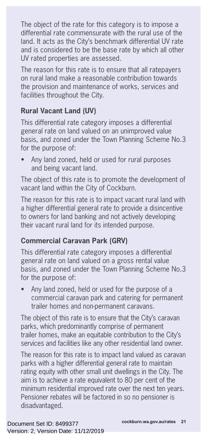The object of the rate for this category is to impose a differential rate commensurate with the rural use of the land. It acts as the City's benchmark differential UV rate and is considered to be the base rate by which all other UV rated properties are assessed.

The reason for this rate is to ensure that all ratepayers on rural land make a reasonable contribution towards the provision and maintenance of works, services and facilities throughout the City.

#### **Rural Vacant Land (UV)**

This differential rate category imposes a differential general rate on land valued on an unimproved value basis, and zoned under the Town Planning Scheme No.3 for the purpose of:

• Any land zoned, held or used for rural purposes and being vacant land.

The object of this rate is to promote the development of vacant land within the City of Cockburn.

The reason for this rate is to impact vacant rural land with a higher differential general rate to provide a disincentive to owners for land banking and not actively developing their vacant rural land for its intended purpose.

#### **Commercial Caravan Park (GRV)**

This differential rate category imposes a differential general rate on land valued on a gross rental value basis, and zoned under the Town Planning Scheme No.3 for the purpose of:

• Any land zoned, held or used for the purpose of a commercial caravan park and catering for permanent trailer homes and non-permanent caravans.

The object of this rate is to ensure that the City's caravan parks, which predominantly comprise of permanent trailer homes, make an equitable contribution to the City's services and facilities like any other residential land owner.

The reason for this rate is to impact land valued as caravan parks with a higher differential general rate to maintain rating equity with other small unit dwellings in the City. The aim is to achieve a rate equivalent to 80 per cent of the minimum residential improved rate over the next ten years. Pensioner rebates will be factored in so no pensioner is disadvantaged.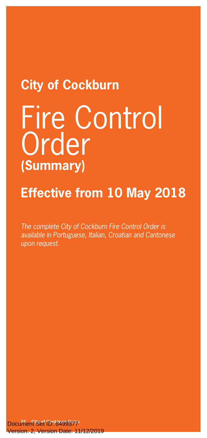# **City of Cockburn**

# Fire Control **Order (Summary)**

# **Effective from 10 May 2018**

*The complete City of Cockburn Fire Control Order is available in Portuguese, Italian, Croatian and Cantonese upon request.*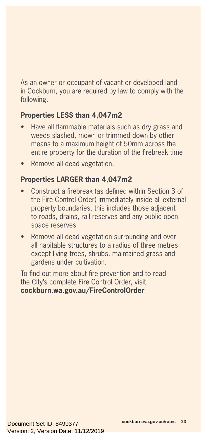As an owner or occupant of vacant or developed land in Cockburn, you are required by law to comply with the following.

#### **Properties LESS than 4,047m2**

- Have all flammable materials such as dry grass and weeds slashed, mown or trimmed down by other means to a maximum height of 50mm across the entire property for the duration of the firebreak time
- Remove all dead vegetation.

#### **Properties LARGER than 4,047m2**

- Construct a firebreak (as defined within Section 3 of the Fire Control Order) immediately inside all external property boundaries, this includes those adjacent to roads, drains, rail reserves and any public open space reserves
- Remove all dead vegetation surrounding and over all habitable structures to a radius of three metres except living trees, shrubs, maintained grass and gardens under cultivation.

To find out more about fire prevention and to read the City's complete Fire Control Order, visit **cockburn.wa.gov.au/FireControlOrder**